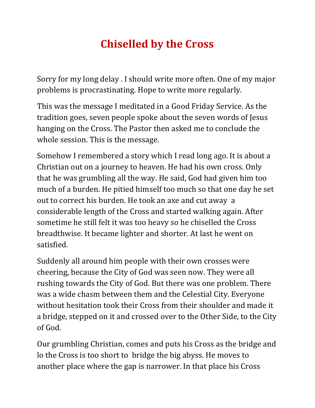## **Chiselled by the Cross**

Sorry for my long delay . I should write more often. One of my major problems is procrastinating. Hope to write more regularly.

This was the message I meditated in a Good Friday Service. As the tradition goes, seven people spoke about the seven words of Jesus hanging on the Cross. The Pastor then asked me to conclude the whole session. This is the message.

Somehow I remembered a story which I read long ago. It is about a Christian out on a journey to heaven. He had his own cross. Only that he was grumbling all the way. He said, God had given him too much of a burden. He pitied himself too much so that one day he set out to correct his burden. He took an axe and cut away a considerable length of the Cross and started walking again. After sometime he still felt it was too heavy so he chiselled the Cross breadthwise. It became lighter and shorter. At last he went on satisfied.

Suddenly all around him people with their own crosses were cheering, because the City of God was seen now. They were all rushing towards the City of God. But there was one problem. There was a wide chasm between them and the Celestial City. Everyone without hesitation took their Cross from their shoulder and made it a bridge, stepped on it and crossed over to the Other Side, to the City of God.

Our grumbling Christian, comes and puts his Cross as the bridge and lo the Cross is too short to bridge the big abyss. He moves to another place where the gap is narrower. In that place his Cross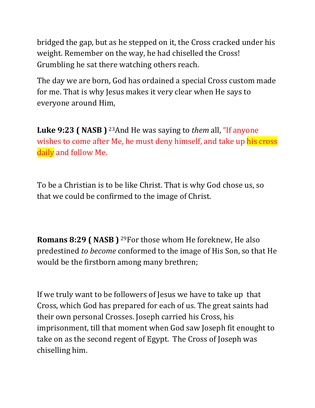bridged the gap, but as he stepped on it, the Cross cracked under his weight. Remember on the way, he had chiselled the Cross! Grumbling he sat there watching others reach.

The day we are born, God has ordained a special Cross custom made for me. That is why Jesus makes it very clear when He says to everyone around Him,

**Luke 9:23 ( NASB )** 23And He was saying to *them* all, "If anyone wishes to come after Me, he must deny himself, and take up his cross daily and follow Me.

To be a Christian is to be like Christ. That is why God chose us, so that we could be confirmed to the image of Christ.

**Romans 8:29 ( NASB )** 29For those whom He foreknew, He also predestined *to become* conformed to the image of His Son, so that He would be the firstborn among many brethren;

If we truly want to be followers of Jesus we have to take up that Cross, which God has prepared for each of us. The great saints had their own personal Crosses. Joseph carried his Cross, his imprisonment, till that moment when God saw Joseph fit enought to take on as the second regent of Egypt. The Cross of Joseph was chiselling him.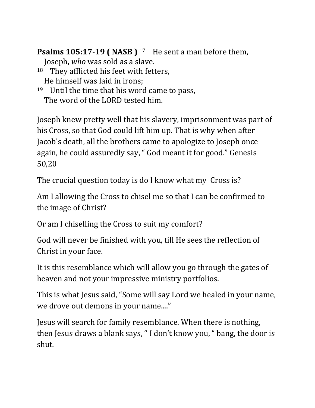**Psalms 105:17-19 ( NASB )** <sup>17</sup> He sent a man before them,

Joseph, *who* was sold as a slave.

- 18 They afflicted his feet with fetters, He himself was laid in irons;
- $19$  Until the time that his word came to pass, The word of the LORD tested him.

Joseph knew pretty well that his slavery, imprisonment was part of his Cross, so that God could lift him up. That is why when after Jacob's death, all the brothers came to apologize to Joseph once again, he could assuredly say, " God meant it for good." Genesis 50,20

The crucial question today is do I know what my Cross is?

Am I allowing the Cross to chisel me so that I can be confirmed to the image of Christ?

Or am I chiselling the Cross to suit my comfort?

God will never be finished with you, till He sees the reflection of Christ in your face.

It is this resemblance which will allow you go through the gates of heaven and not your impressive ministry portfolios.

This is what Jesus said, "Some will say Lord we healed in your name, we drove out demons in your name...."

Jesus will search for family resemblance. When there is nothing, then Jesus draws a blank says, " I don't know you, " bang, the door is shut.